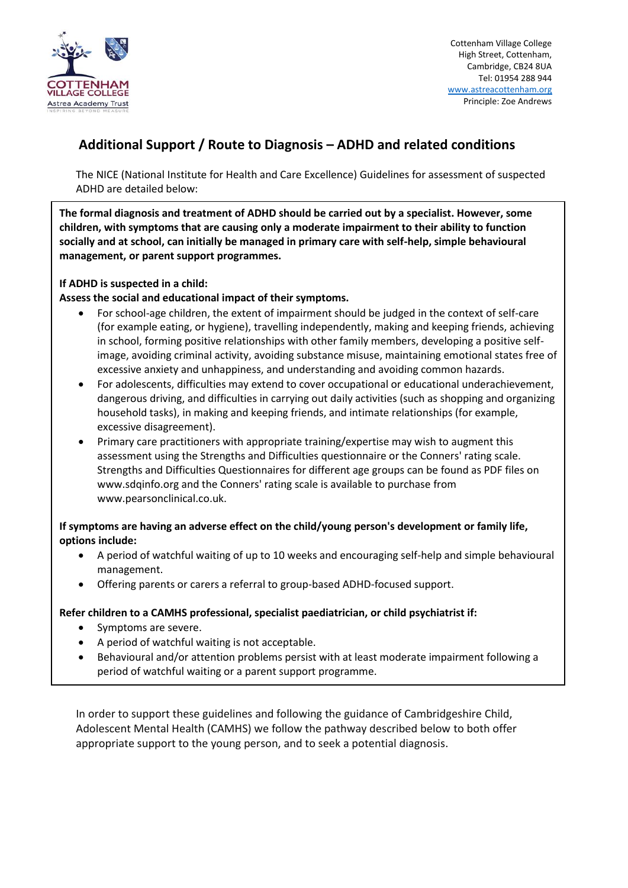

Cottenham Village College High Street, Cottenham, Cambridge, CB24 8UA Tel: 01954 288 944 [www.astreacottenham.org](http://www.astreacottenham.org/) Principle: Zoe Andrews

# **Additional Support / Route to Diagnosis – ADHD and related conditions**

The NICE (National Institute for Health and Care Excellence) Guidelines for assessment of suspected ADHD are detailed below:

**The formal diagnosis and treatment of ADHD should be carried out by a specialist. However, some children, with symptoms that are causing only a moderate impairment to their ability to function socially and at school, can initially be managed in primary care with self-help, simple behavioural management, or parent support programmes.** 

## **If ADHD is suspected in a child:**

## **Assess the social and educational impact of their symptoms.**

- For school-age children, the extent of impairment should be judged in the context of self-care (for example eating, or hygiene), travelling independently, making and keeping friends, achieving in school, forming positive relationships with other family members, developing a positive selfimage, avoiding criminal activity, avoiding substance misuse, maintaining emotional states free of excessive anxiety and unhappiness, and understanding and avoiding common hazards.
- For adolescents, difficulties may extend to cover occupational or educational underachievement, dangerous driving, and difficulties in carrying out daily activities (such as shopping and organizing household tasks), in making and keeping friends, and intimate relationships (for example, excessive disagreement).
- Primary care practitioners with appropriate training/expertise may wish to augment this assessment using the Strengths and Difficulties questionnaire or the Conners' rating scale. Strengths and Difficulties Questionnaires for different age groups can be found as PDF files on www.sdqinfo.org and the Conners' rating scale is available to purchase from www.pearsonclinical.co.uk.

## **If symptoms are having an adverse effect on the child/young person's development or family life, options include:**

- A period of watchful waiting of up to 10 weeks and encouraging self-help and simple behavioural management.
- Offering parents or carers a referral to group-based ADHD-focused support.

#### **Refer children to a CAMHS professional, specialist paediatrician, or child psychiatrist if:**

- Symptoms are severe.
- A period of watchful waiting is not acceptable.
- Behavioural and/or attention problems persist with at least moderate impairment following a period of watchful waiting or a parent support programme.

In order to support these guidelines and following the guidance of Cambridgeshire Child, Adolescent Mental Health (CAMHS) we follow the pathway described below to both offer appropriate support to the young person, and to seek a potential diagnosis.